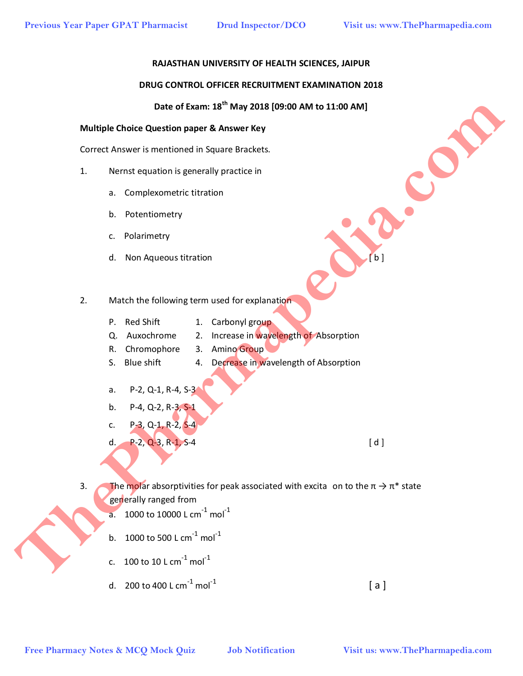### **RAJASTHAN UNIVERSITY OF HEALTH SCIENCES, JAIPUR**

### **DRUG CONTROL OFFICER RECRUITMENT EXAMINATION 2018**

# **Date of Exam: 18th May 2018 [09:00 AM to 11:00 AM]**

### **Multiple Choice Question paper & Answer Key**

Correct Answer is mentioned in Square Brackets.

- 1. Nernst equation is generally practice in
	- a. Complexometric titration
	- b. Potentiometry
	- c. Polarimetry
	- d. Non Aqueous titration **and the set of the set of the set of the set of the set of the set of the set of the set of the set of the set of the set of the set of the set of the set of the set of the set of the set of the s**
- 2. Match the following term used for explanation
	- P. Red Shift 1. Carbonyl group
	- Q. Auxochrome 2. Increase in wavelength of Absorption
	- R. Chromophore 3. Amino Group
	- S. Blue shift 4. Decrease in wavelength of Absorption
	- a. P-2, Q-1, R-4, S-3
	- b. P-4, Q-2, R-3, S-1
	- c. P-3, Q-1, R-2, S-4
	- d.  $P-2$ , Q-3, R-1, S-4  $[d]$

- 3. The molar absorptivities for peak associated with excita on to the  $\pi \rightarrow \pi^*$  state generally ranged from **Example 2018 Free Pharmacy Notes & McQ Mock Quiz and The Pharmacy Notes & McQ Mock Quiz and The Pharmacy The Pharmapedia.com<br>
The Pharmacy Notes & McQ Mock Quiz and The Pharmacy Notes & McQ Mock Quiz and The Pharmapedia** 
	- a. 1000 to 10000 L cm<sup>-1</sup> mol<sup>-1</sup>
	- b. 1000 to 500 L cm<sup>-1</sup> mol<sup>-1</sup>
	- c. 100 to 10 L cm $^{-1}$  mol $^{-1}$
	- d. 200 to 400 L cm<sup>-1</sup> mol<sup>-1</sup> [ a ]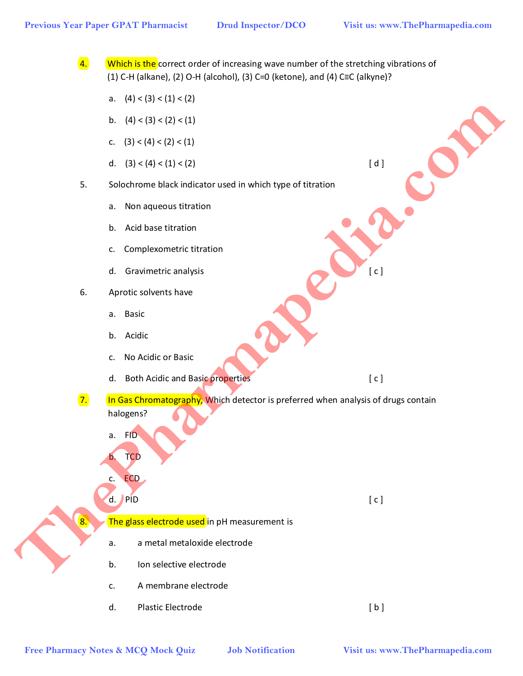$\overline{4}$ . Which is the correct order of increasing wave number of the stretching vibrations of (1) C-H (alkane), (2) O-H (alcohol), (3) C=0 (ketone), and (4) C≡C (alkyne)?

- a.  $(4) < (3) < (1) < (2)$
- b.  $(4) < (3) < (2) < (1)$
- c.  $(3) < (4) < (2) < (1)$
- d.  $(3) < (4) < (1) < (2)$  [ d ]
- 5. Solochrome black indicator used in which type of titration
	- a. Non aqueous titration
	- b. Acid base titration
	- c. Complexometric titration
	- d. Gravimetric analysis [ c ]
- 6. Aprotic solvents have
	- a. Basic
	- b. Acidic
	- c. No Acidic or Basic
	- d. Both Acidic and Basic properties [ c ]
- 7. In Gas Chromatography, Which detector is preferred when analysis of drugs contain halogens? **Free Pharmacy Notes & MCQ Mock Quiz Job Notification**<br> **Free Pharmacy Notes & MCQ Mock Quiz Job Notification**<br> **Free Pharmacy Notes & McQ Mock Quiz Job Notification**<br> **Free Pharmacy Notes & McQ Mock Quiz Job Notification** 
	- a. FID
	- **TCD**
	- c. ECD

d. PID [ c ]

 $8.$  The glass electrode used in pH measurement is

- a. a metal metaloxide electrode
- b. Ion selective electrode
- c. A membrane electrode
- d. Plastic Electrode [ b ]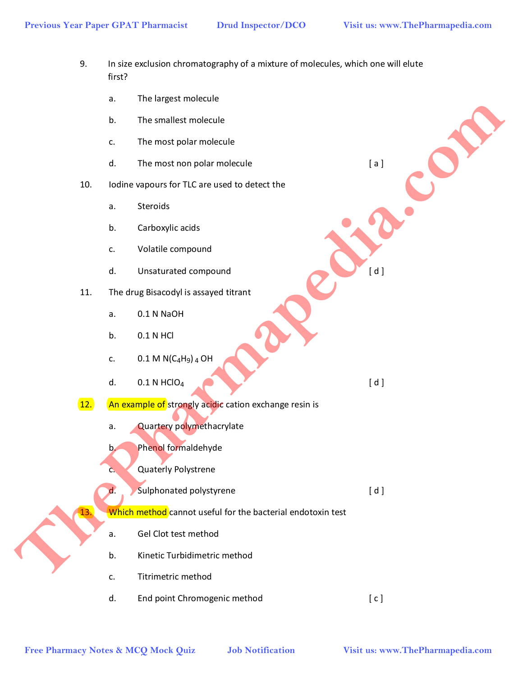- 9. In size exclusion chromatography of a mixture of molecules, which one will elute first?
	- a. The largest molecule
	- b. The smallest molecule
	- c. The most polar molecule
	- d. The most non polar molecule example and the state of a l
- 10. Iodine vapours for TLC are used to detect the
	- a. Steroids
	- b. Carboxylic acids
	- c. Volatile compound
	- d. Unsaturated compound and a set of the United States of the United States of the United States of the United States of the United States of the United States of the United States of the United States of the United States
- 11. The drug Bisacodyl is assayed titrant
	- a. 0.1 N NaOH
	- b. 0.1 N HCl
	- c.  $0.1 M N (C_4 H_9) _4 O H$
	- d.  $0.1 N HClO<sub>4</sub>$  (d)
- 12. An example of strongly acidic cation exchange resin is
	- a. Quartery polymethacrylate
	- b. Phenol formaldehyde
	- c. Quaterly Polystrene
	- d. Sulphonated polystyrene and a set of the subset of the subset of the set of the set of the set of the set of the set of the set of the set of the set of the set of the set of the set of the set of the set of the set of
	- Which method cannot useful for the bacterial endotoxin test
	- a. Gel Clot test method
	- b. Kinetic Turbidimetric method
	- c. Titrimetric method
- d. End point Chromogenic method [ c ] **Free Pharmacy Notes & MCQ Mock Quiz Job Notification**<br> **Free Pharmacy Notes & MCQ Mock Quiz Job Notification**<br> **Free Pharmacy Notes & MCQ Mock Quiz Job Notification**<br> **Cancel Mother Compound**<br> **Cancel Mother School School**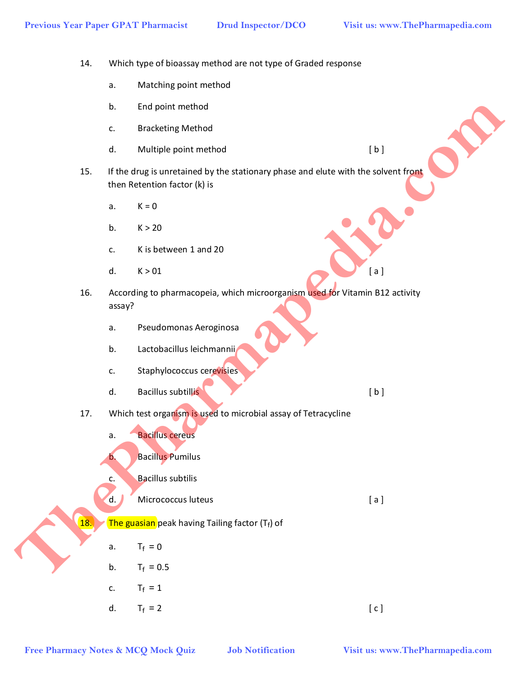14. Which type of bioassay method are not type of Graded response

- a. Matching point method
- b. End point method
- c. Bracketing Method
- d. Multiple point method [b]
- 15. If the drug is unretained by the stationary phase and elute with the solvent front then Retention factor (k) is
	- a.  $K = 0$
	- b.  $K > 20$
	- c. K is between 1 and 20
- d.  $K > 01$  [a]
- 16. According to pharmacopeia, which microorganism used for Vitamin B12 activity assay? **Free Pharmacy Notes & MCQ Mock Quiz Job Notification**<br> **Free Pharmacy Mock Quiz Job Notifications**<br> **Free Pharmacy Society (a)**<br> **Free Pharmacy Society And Archives and Society And Archives and Society Archives & Rea** 
	- a. Pseudomonas Aeroginosa
	- b. Lactobacillus leichmannii
	- c. Staphylococcus cerevisies
	- d. Bacillus subtillis and the set of the set of the set of the set of the set of the set of the set of the set of the set of the set of the set of the set of the set of the set of the set of the set of the set of the set o
	- 17. Which test organism is used to microbial assay of Tetracycline
		- a. Bacillus cereus
		- b. Bacillus Pumilus
		- c. Bacillus subtilis
		- d. Micrococcus luteus [ a ]
	- 18. The guasian peak having Tailing factor  $(T_f)$  of
		- a.  $T_f = 0$
		- b.  $T_f = 0.5$
		- c.  $T_f = 1$
	- d.  $T_f = 2$  [ c ]
		-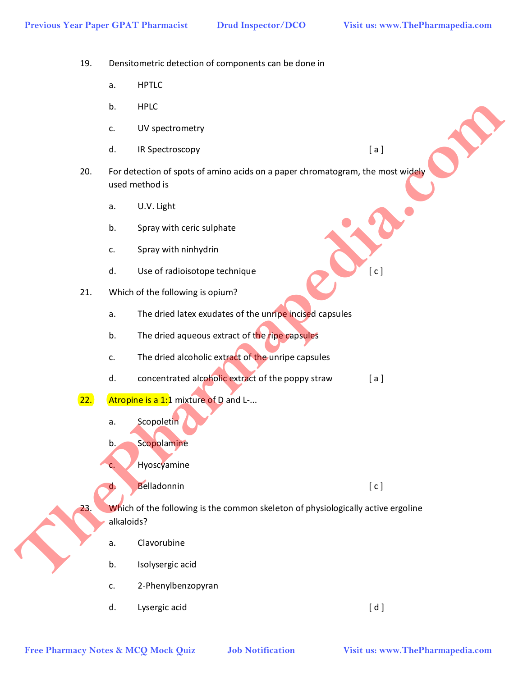19. Densitometric detection of components can be done in

- a. HPTLC
- b. HPLC
- c. UV spectrometry
- d. IR Spectroscopy [a]
- 20. For detection of spots of amino acids on a paper chromatogram, the most widely used method is **Example 12 Photographical School of School of School of School of School of School of School of School of School of School of Notification and the Pharmapedia.com<br>
<b>Example 12 Pharmapedia.com The pharmapedia.com The p** 
	- a. U.V. Light
	- b. Spray with ceric sulphate
	- c. Spray with ninhydrin
	- d. Use of radioisotope technique [ c ]
	- 21. Which of the following is opium?
		- a. The dried latex exudates of the unripe incised capsules
		- b. The dried aqueous extract of the ripe capsules
		- c. The dried alcoholic extract of the unripe capsules
		- d. concentrated alcoholic extract of the poppy straw [a]
	- 22. Atropine is a 1:1 mixture of D and L-...
		- a. Scopoletin
		- b. Scopolamine
		- c. Hyoscyamine
		- d. Belladonnin [ c ]

23. Which of the following is the common skeleton of physiologically active ergoline

- alkaloids?
- a. Clavorubine
- b. Isolysergic acid
- c. 2-Phenylbenzopyran
- d. Lysergic acid [ d ]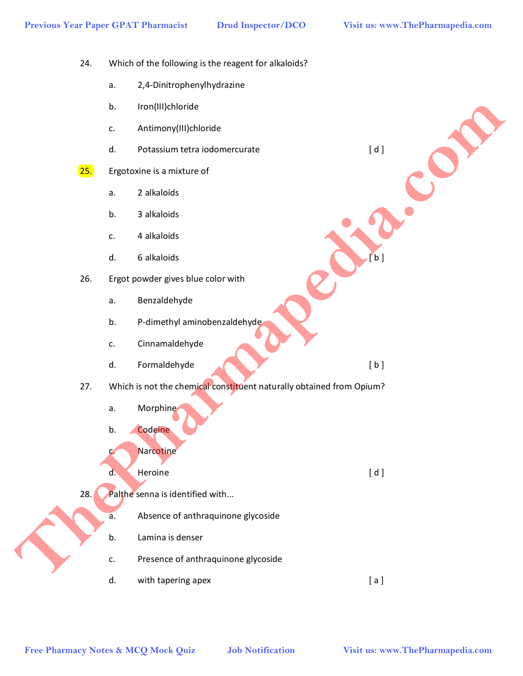24. Which of the following is the reagent for alkaloids?

- a. 2,4-Dinitrophenylhydrazine
- b. Iron(III)chloride
- c. Antimony(III)chloride
- d. Potassium tetra iodomercurate [ d ]
- 25. Ergotoxine is a mixture of
	- a. 2 alkaloids
	- b. 3 alkaloids
	- c. 4 alkaloids
	- d. 6 alkaloids  $\begin{bmatrix} b \end{bmatrix}$
- 26. Ergot powder gives blue color with
	- a. Benzaldehyde
	- b. P-dimethyl aminobenzaldehyde
	- c. Cinnamaldehyde
	- d. Formaldehyde (b ]
- 27. Which is not the chemical constituent naturally obtained from Opium? **Example Pharmacy Notes & MCQ Mock Quiz and Server Pharmacy Notes & MCQ Mock Quiz and Server Pharmapedia.com**<br> **Free Pharmacy Notes & MCQ Mock Quiz and Server Pharmapedia.com**<br> **Free Pharmapedia.com Computer Computer Com** 
	- a. Morphine
	- b. Codeine
	- c. Narcotine
	- d. Heroine [ d ]
	- 28. Palthe senna is identified with...
		- a. Absence of anthraquinone glycoside
		- b. Lamina is denser
		- c. Presence of anthraquinone glycoside
		- d. with tapering apex [a ]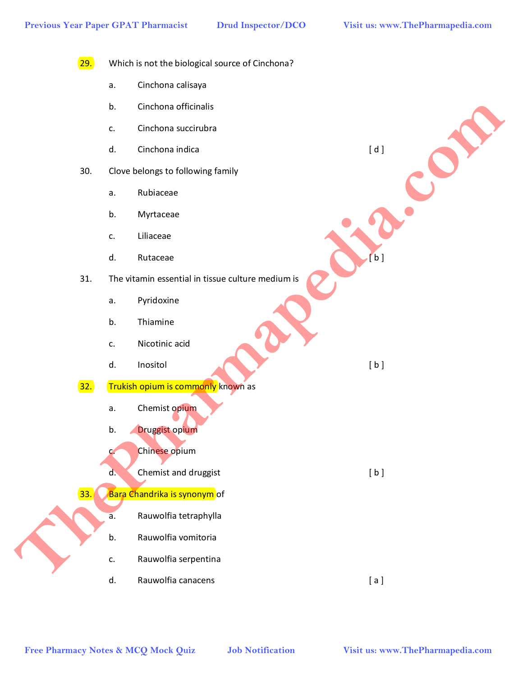29. Which is not the biological source of Cinchona? a. Cinchona calisaya b. Cinchona officinalis c. Cinchona succirubra d. Cinchona indica [ d ] 30. Clove belongs to following family a. Rubiaceae b. Myrtaceae c. Liliaceae d. Rutaceae [ b ] 31. The vitamin essential in tissue culture medium is a. Pyridoxine b. Thiamine c. Nicotinic acid d. Inositol [b] 32. Trukish opium is commonly known as a. Chemist opium b. Druggist opium c. Chinese opium d. Chemist and druggist [ b ] 33. Bara Chandrika is synonym of a. Rauwolfia tetraphylla b. Rauwolfia vomitoria c. Rauwolfia serpentina d. Rauwolfia canacens [ a ] **Example Pharmacy Notes & McQ Mock Quiz Job Notification**<br> **Free Pharmacy Notes & McQuiz and Collowing family**<br> **B. Free Pharmacy Accounts**<br> **B. Photonic and Artistics Collower Pharmacy Accounts**<br> **B. Photonic and Ar**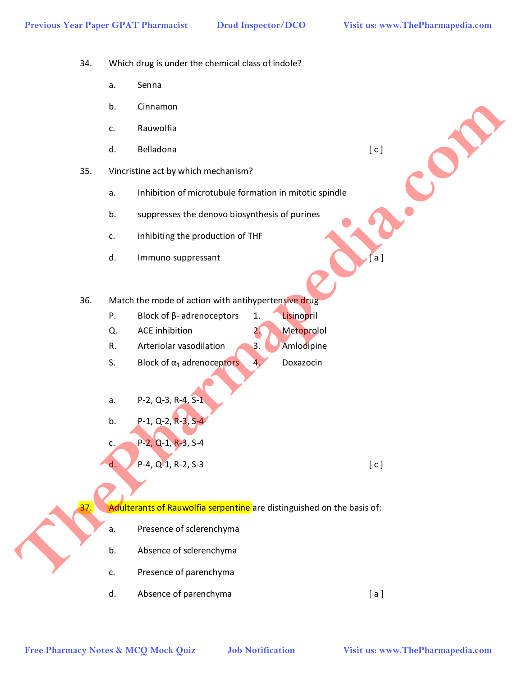34. Which drug is under the chemical class of indole?

- a. Senna
- b. Cinnamon
- c. Rauwolfia
- d. Belladona [ c ]
- 35. Vincristine act by which mechanism?
	- a. Inhibition of microtubule formation in mitotic spindle
	- b. suppresses the denovo biosynthesis of purines
	- c. inhibiting the production of THF
	- d. Immuno suppressant **and a little of the set of the set of a** [ a ]
- 36. Match the mode of action with antihypertensive drug
	- P. Block of β- adrenoceptors 1. Lisinopril
	- Q. ACE inhibition 2. Metoprolol
	- R. Arteriolar vasodilation 3. Amlodipine
	- S. Block of  $\alpha_1$  adrenoceptors 4. Doxazocin
	- a. P-2, Q-3, R-4, S-1
	- b.  $P-1$ , Q-2, R-3, S-4
	- c. P-2, Q-1, R-3, S-4
	- d. P-4, Q-1, R-2, S-3 [ c ]

Adulterants of Rauwolfia serpentine are distinguished on the basis of:

- a. Presence of sclerenchyma
- b. Absence of sclerenchyma
- c. Presence of parenchyma
- d. Absence of parenchyma [ a ] **Example 12**<br> **Free Pharmace State Web Armoritanisms**<br> **Free Pharmace State Concernsions of Pharmace State Concernsion in mitotic spindle<br>
<b>Free Pharmapedia.com Concernsions of Pharmace Concernsions of Pharmace Concernsi**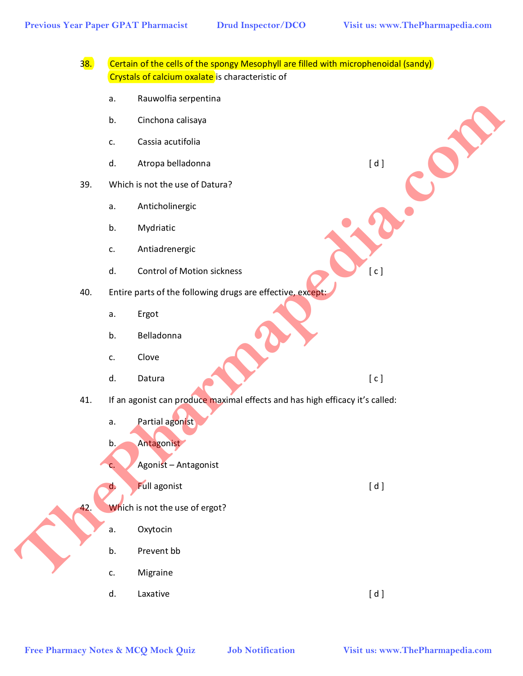|            | a.                                                                           | Rauwolfia serpentina              |         |
|------------|------------------------------------------------------------------------------|-----------------------------------|---------|
|            | b.                                                                           | Cinchona calisaya                 |         |
|            | c.                                                                           | Cassia acutifolia                 |         |
|            | d.                                                                           | Atropa belladonna                 | $[ d ]$ |
| 39.        |                                                                              | Which is not the use of Datura?   |         |
|            | a.                                                                           | Anticholinergic                   |         |
|            | b.                                                                           | Mydriatic                         |         |
|            | c.                                                                           | Antiadrenergic                    |         |
|            | d.                                                                           | <b>Control of Motion sickness</b> | [ c ]   |
| 40.        | Entire parts of the following drugs are effective, except:                   |                                   |         |
|            | a.                                                                           | Ergot                             |         |
|            | b.                                                                           | Belladonna                        |         |
|            | c.                                                                           | Clove                             |         |
|            | d.                                                                           | Datura                            | [c]     |
| 41.<br>42. | If an agonist can produce maximal effects and has high efficacy it's called: |                                   |         |
|            | a.                                                                           | Partial agonist                   |         |
|            | $\mathbf{b}$ .                                                               | Antagonist                        |         |
|            | C <sub>1</sub>                                                               | Agonist - Antagonist              |         |
|            | d.                                                                           | <b>Full agonist</b>               | [d]     |
|            | Which is not the use of ergot?                                               |                                   |         |
|            | а.                                                                           | Oxytocin                          |         |
|            | b.                                                                           | Prevent bb                        |         |
|            | c.                                                                           | Migraine                          |         |
|            | d.                                                                           | Laxative                          | [d]     |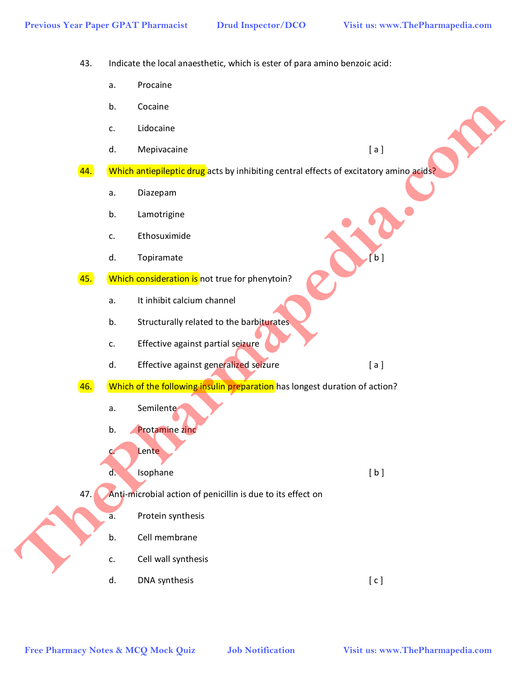43. Indicate the local anaesthetic, which is ester of para amino benzoic acid:

- a. Procaine
- b. Cocaine
- c. Lidocaine
- d. Mepivacaine [ a ]
- 44. Which antiepileptic drug acts by inhibiting central effects of excitatory amino acids?
	- a. Diazepam
	- b. Lamotrigine
	- c. Ethosuximide
	- d. Topiramate
- 45. Which consideration is not true for phenytoin?
	- a. It inhibit calcium channel
	- b. Structurally related to the barbiturates
	- c. Effective against partial seizure
	- d. Effective against generalized seizure **Example 2018** [ a ]
- 46. Which of the following insulin preparation has longest duration of action?
	- a. Semilente
	- b. Protamine zinc
	- c. Lente
	- d. Isophane [b]
- 47. Anti-microbial action of penicillin is due to its effect on
	- a. Protein synthesis
	- b. Cell membrane
	- c. Cell wall synthesis
	- d. DNA synthesis [ c ]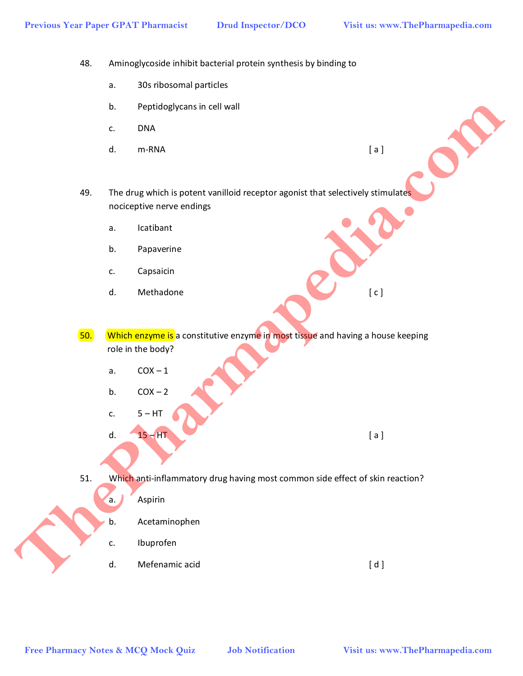- 48. Aminoglycoside inhibit bacterial protein synthesis by binding to
	- a. 30s ribosomal particles
	- b. Peptidoglycans in cell wall
	- c. DNA
- d. m-RNA [ a ]
	-
- 49. The drug which is potent vanilloid receptor agonist that selectively stimulates nociceptive nerve endings
	- a. Icatibant
	- b. Papaverine
	- c. Capsaicin
	- d. Methadone [ c ]
- 50. Which enzyme is a constitutive enzyme in most tissue and having a house keeping role in the body? **Free Pharmacy Notes & MCQ Mock Quiz Job Notification Visit us: www.ThePharmapedia.com**<br>
The Pharmaps Notes & MCQ Mock Quiz Job Notification<br> **Free Pharmacy Notes & MCQ Mock Quiz** Job Notification<br> **Free Pharmacy Notes &** 
	- a.  $COX 1$
	- b.  $COX 2$
	- c.  $5 HT$

d.  $15 - HT$  [ a ]

51. Which anti-inflammatory drug having most common side effect of skin reaction?

- a. **Aspirin**
- b. Acetaminophen
- c. Ibuprofen
- d. Mefenamic acid [ d ]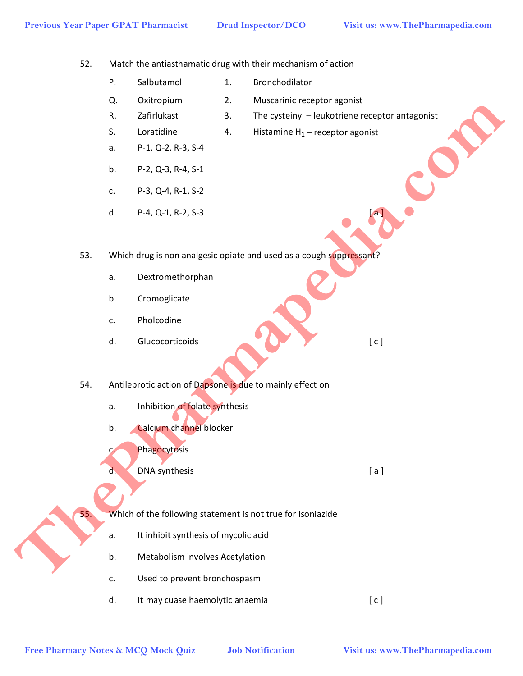52. Match the antiasthamatic drug with their mechanism of action

- P. Salbutamol 1. Bronchodilator
- Q. Oxitropium 2. Muscarinic receptor agonist
- 
- R. Zafirlukast 3. The cysteinyl leukotriene receptor antagonist
- S. Loratidine 4. Histamine  $H_1$  receptor agonist
- a. P-1, Q-2, R-3, S-4
- b. P-2, Q-3, R-4, S-1
- c. P-3, Q-4, R-1, S-2
- d.  $P-A$ , Q-1, R-2, S-3  $[a]$
- 53. Which drug is non analgesic opiate and used as a cough suppressant? **Free Pharmacy Notes & McQ Mock Quiz and McQ Mock Quiz and McQ Mock Quiz and McQ Mock Container (1, - receptor segments)<br>
<b>Free Pharmaps (ACQ Mock PLAC)**<br> **Free Pharmaps (ACQ Mock Place)**<br> **Free Pharmaps (ACQ Mock Place)**<br>
	- a. Dextromethorphan
	- b. Cromoglicate
	- c. Pholcodine
	- d. Glucocorticoids [ c ]
	- 54. Antileprotic action of Dapsone is due to mainly effect on
		- a. Inhibition of folate synthesis
		- b. Calcium channel blocker
		- c. Phagocytosis
		- d. DNA synthesis and a structure of a large synthesis and a large synthesis and a large synthesis and a large synthesis and a large synthesis and a large synthesis and a large synthesis and a large synthesis and a large sy

55. Which of the following statement is not true for Isoniazide

- a. It inhibit synthesis of mycolic acid
- b. Metabolism involves Acetylation
- c. Used to prevent bronchospasm
- d. It may cuase haemolytic anaemia example and  $[c]$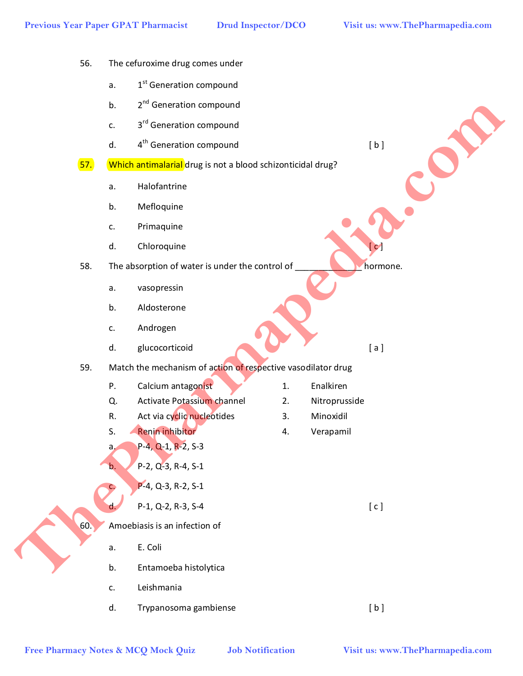- 56. The cefuroxime drug comes under
	- a.  $1<sup>st</sup>$  Generation compound
	- b. 2<sup>nd</sup> Generation compound
	- c. 3<sup>rd</sup> Generation compound
	- d.  $4<sup>th</sup>$  Generation compound [b]
- 57. Which antimalarial drug is not a blood schizonticidal drug?
	- a. Halofantrine
	- b. Mefloquine
	- c. Primaquine
	- d. Chloroquine
- 58. The absorption of water is under the control of
	- a. vasopressin
	- b. Aldosterone
	- c. Androgen
	- d. glucocorticoid [ a ]

# 59. Match the mechanism of action of respective vasodilator drug **Example Pharmacy Notes & McQ Mock Quiz and Section of the Control of the Pharmapedia.com**<br> **Free Pharmapedia.com Control of the Control of the Archivese Control of the Archivese Control of the Archivese Control of the A**

- P. Calcium antagonist 1. Enalkiren
- Q. Activate Potassium channel 2. Nitroprusside
- R. Act via cyclic nucleotides 3. Minoxidil
- S. Renin inhibitor **4.** Verapamil
- a. P-4, Q-1, R-2, S-3
- $b.$  P-2, Q-3, R-4, S-1
	- P-4, Q-3, R-2, S-1

## d.  $P-1, Q-2, R-3, S-4$  [ c ]

60. Amoebiasis is an infection of

- a. E. Coli
- b. Entamoeba histolytica
- c. Leishmania
- d. Trypanosoma gambiense interventional control in the set of the set of the set of the set of the set of the set of the set of the set of the set of the set of the set of the set of the set of the set of the set of the se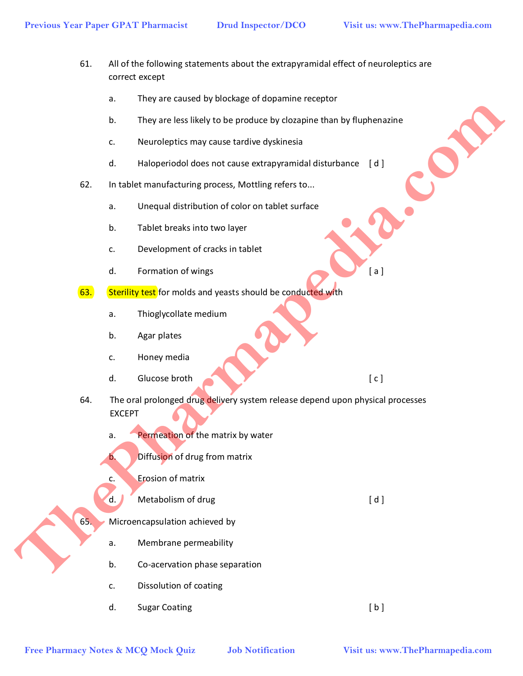- 61. All of the following statements about the extrapyramidal effect of neuroleptics are correct except
	- a. They are caused by blockage of dopamine receptor
	- b. They are less likely to be produce by clozapine than by fluphenazine
	- c. Neuroleptics may cause tardive dyskinesia
	- d. Haloperiodol does not cause extrapyramidal disturbance [ d ]
- 62. In tablet manufacturing process, Mottling refers to...
	- a. Unequal distribution of color on tablet surface
	- b. Tablet breaks into two layer
	- c. Development of cracks in tablet
	- d. Formation of wings [ a ]
- 63. Sterility test for molds and yeasts should be conducted with
	- a. Thioglycollate medium
	- b. Agar plates
	- c. Honey media
	- d. Glucose broth  $\begin{bmatrix} c \end{bmatrix}$
- 64. The oral prolonged drug delivery system release depend upon physical processes EXCEPT **Free Pharmacy Notes & MCQ Mock Quiz Press & McQ Mock Quiz Press & McQ Mock Quiz Press & McQ Mock Quiz Press & McQ Mock Quiz Press & McQ Mock Quiz Press & McQ Mock Quiz Press & McQ Mock Quiz Press & West Press and the Cond** 
	- a. Permeation of the matrix by water
	- b. Diffusion of drug from matrix
	- c. Erosion of matrix
	- d. Metabolism of drug density of  $[d]$
	- 65. Microencapsulation achieved by
		- a. Membrane permeability
		- b. Co-acervation phase separation
		- c. Dissolution of coating
		- d. Sugar Coating in the set of the set of the set of the set of the set of the set of the set of the set of the set of the set of the set of the set of the set of the set of the set of the set of the set of the set of the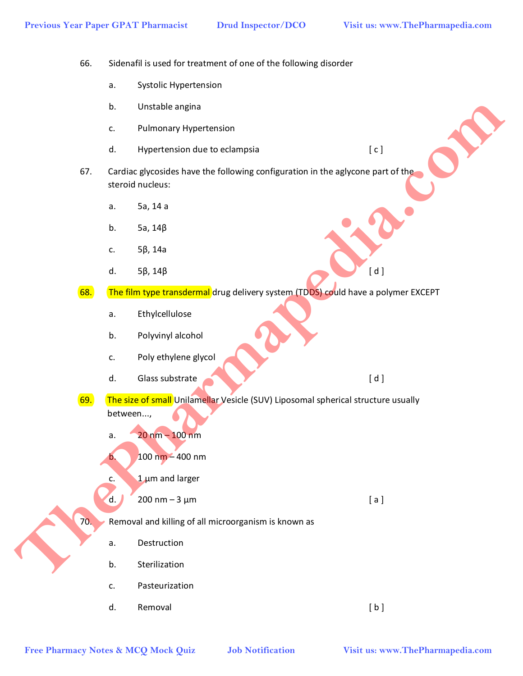66. Sidenafil is used for treatment of one of the following disorder

- a. Systolic Hypertension
- b. Unstable angina
- c. Pulmonary Hypertension
- d. Hypertension due to eclampsia example and the set of c ]
- 67. Cardiac glycosides have the following configuration in the aglycone part of the steroid nucleus:
	- a. 5a, 14 a
	- b. 5a, 14β
	- c. 5β, 14a
- d.  $5\beta$ ,  $14\beta$  [ d ]
- 68. The film type transdermal drug delivery system (TDDS) could have a polymer EXCEPT
	- a. Ethylcellulose
	- b. Polyvinyl alcohol
	- c. Poly ethylene glycol
	- d. Glass substrate [ d ]
- 69. The size of small Unilamellar Vesicle (SUV) Liposomal spherical structure usually between..., **Example Armachy Highertonion**<br> **Free Pharmacy Notes & McQ Mock Quiz and Section in the approach part of the approximation in the approach part of the<br>
<b>Free Pharmapidia.com Branch Armachy (a)**<br> **Free Pharmapidia.com T** 
	- a.  $20 \text{ nm} 100 \text{ nm}$
	- b.  $100 \text{ nm} 400 \text{ nm}$
	- c.  $1 \mu m$  and larger
	- d.  $200 \text{ nm} 3 \mu \text{m}$  [ a ]
	- 70. Removal and killing of all microorganism is known as
		- a. Destruction
		- b. Sterilization
		- c. Pasteurization
	- d. Removal [b]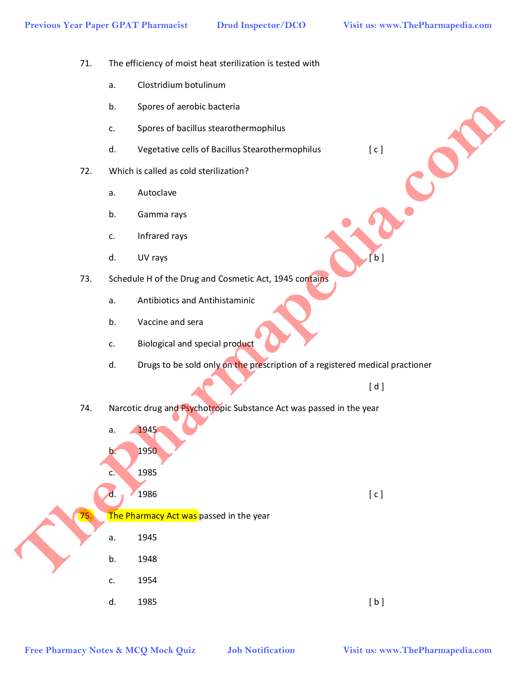- 71. The efficiency of moist heat sterilization is tested with
	- a. Clostridium botulinum
	- b. Spores of aerobic bacteria
	- c. Spores of bacillus stearothermophilus
	- d. Vegetative cells of Bacillus Stearothermophilus [ c ]
- 72. Which is called as cold sterilization?
	- a. Autoclave
	- b. Gamma rays
	- c. Infrared rays
- d. UV rays  $[ b ]$
- 73. Schedule H of the Drug and Cosmetic Act, 1945 contains
	- a. Antibiotics and Antihistaminic
	- b. Vaccine and sera
	- c. Biological and special product
	- d. Drugs to be sold only on the prescription of a registered medical practioner

 $\blacksquare$  d  $\blacksquare$  d  $\blacksquare$ 

74. Narcotic drug and Psychotropic Substance Act was passed in the year

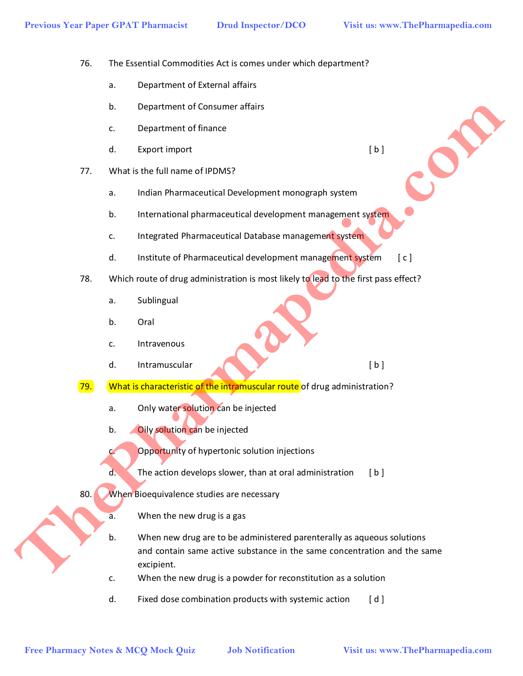- 76. The Essential Commodities Act is comes under which department?
	- a. Department of External affairs
	- b. Department of Consumer affairs
	- c. Department of finance
	- d. Export import (b)
- 77. What is the full name of IPDMS?
	- a. Indian Pharmaceutical Development monograph system
	- b. International pharmaceutical development management system
	- c. Integrated Pharmaceutical Database management system
	- d. Institute of Pharmaceutical development management system [c]
- 78. Which route of drug administration is most likely to lead to the first pass effect?
	- a. Sublingual
	- b. Oral
	- c. Intravenous
	- d. Intramuscular (b)
- 79. What is characteristic of the intramuscular route of drug administration?
	- a. Only water solution can be injected
	- b. Oily solution can be injected
	- c. Opportunity of hypertonic solution injections
	- $d.$  The action develops slower, than at oral administration [b]
- 80. When Bioequivalence studies are necessary
	- a. When the new drug is a gas
- b. When new drug are to be administered parenterally as aqueous solutions and contain same active substance in the same concentration and the same excipient. **Example 10**<br> **Example Pharmace Pharmace distribution**<br> **Free Pharmace Pharmace distribution**<br> **Free Pharmace Distribution**<br> **Example 10**<br> **Example 2**<br> **Example 2**<br> **Example 2**<br> **Example 2**<br> **Example 2**<br> **Example 2**<br> **Exam** 
	- c. When the new drug is a powder for reconstitution as a solution
	- d. Fixed dose combination products with systemic action [d]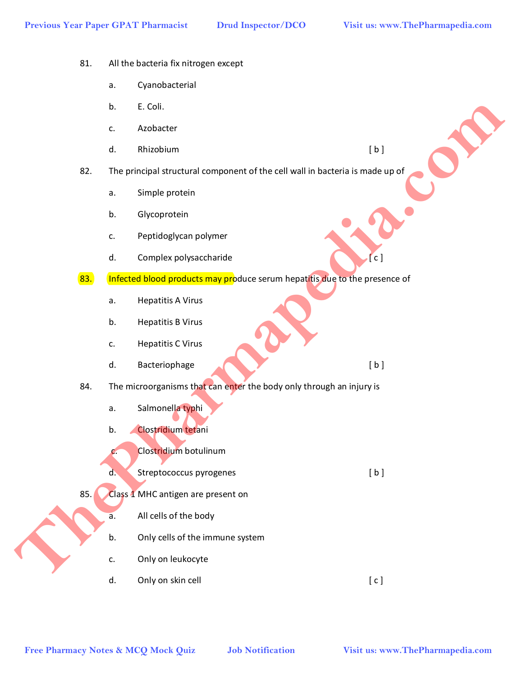- 81. All the bacteria fix nitrogen except
	- a. Cyanobacterial
	- b. E. Coli.
	- c. Azobacter
	- d. Rhizobium [ b ]
- 82. The principal structural component of the cell wall in bacteria is made up of
	- a. Simple protein
	- b. Glycoprotein
	- c. Peptidoglycan polymer
	- d. Complex polysaccharide **complex in the complex of c** c ]
- 83. Infected blood products may produce serum hepatitis due to the presence of
	- a. Hepatitis A Virus
	- b. Hepatitis B Virus
	- c. Hepatitis C Virus
	- d. Bacteriophage (b)
- 84. The microorganisms that can enter the body only through an injury is
	- a. Salmonella typhi
	- b. Clostridium tetani
	- c. Clostridium botulinum
	- d. Streptococcus pyrogenes [ b ]
- 85. Class 1 MHC antigen are present on
	- a. All cells of the body
	- b. Only cells of the immune system
	- c. Only on leukocyte
	- d. Only on skin cell  $[c]$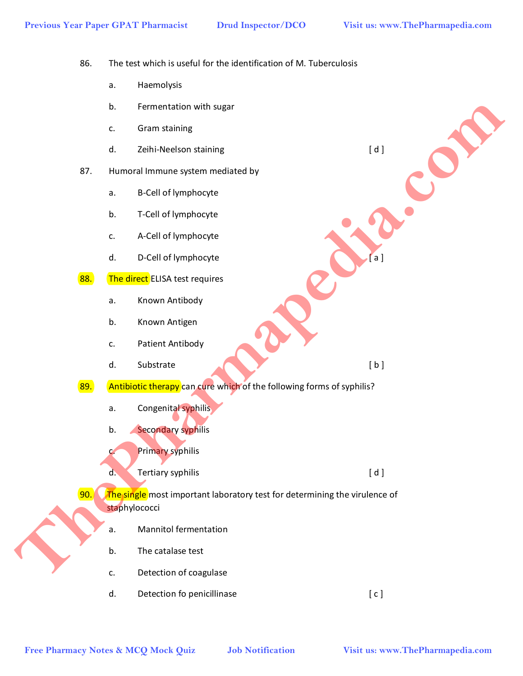86. The test which is useful for the identification of M. Tuberculosis

- a. Haemolysis
- b. Fermentation with sugar
- c. Gram staining
- d. Zeihi-Neelson staining die andere and a late of d ]
- 87. Humoral Immune system mediated by
	- a. B-Cell of lymphocyte
	- b. T-Cell of lymphocyte
	- c. A-Cell of lymphocyte
	- d. D-Cell of lymphocyte **and a set of the Cell** a l
- 88. The direct ELISA test requires
	- a. Known Antibody
	- b. Known Antigen
	- c. Patient Antibody
	- d. Substrate [b]
- 89. Antibiotic therapy can cure which of the following forms of syphilis?
	- a. Congenital syphilis
	- b. Secondary syphilis
	- c. Primary syphilis
	- d. Tertiary syphilis [ d ]
- 90. The single most important laboratory test for determining the virulence of staphylococci **Examples & McQ Mock Quiz and Substitute**<br> **Free Pharmacy Notes & MCQ Mock Quiz and Substitute of the Collection of the Collection of the Delta Collection Collection Collection Collection Collection Collection Collection C** 
	- a. Mannitol fermentation
	- b. The catalase test
	- c. Detection of coagulase
	- d. Detection fo penicillinase [ c ]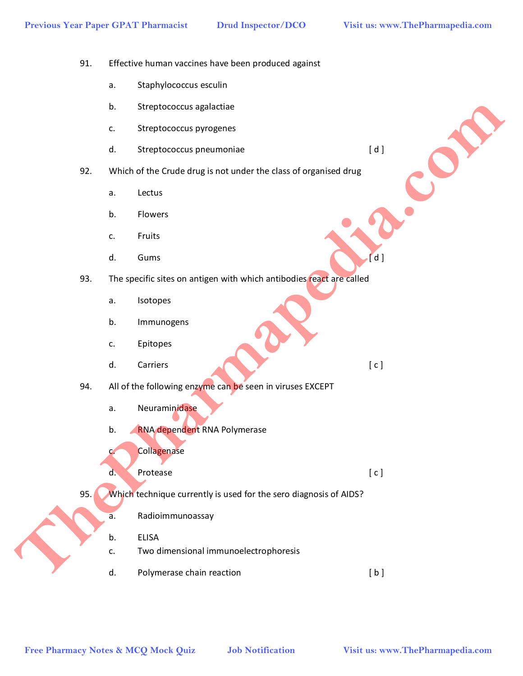- 91. Effective human vaccines have been produced against
	- a. Staphylococcus esculin
	- b. Streptococcus agalactiae
	- c. Streptococcus pyrogenes
	- d. Streptococcus pneumoniae [d]
- 92. Which of the Crude drug is not under the class of organised drug
	- a. Lectus
	- b. Flowers
	- c. Fruits
- d. Gums  $\begin{bmatrix} d \end{bmatrix}$
- 93. The specific sites on antigen with which antibodies react are called
	- a. Isotopes
	- b. Immunogens
	- c. Epitopes
- d. Carriers [ c ]
- 94. All of the following enzyme can be seen in viruses EXCEPT
	- a. Neuraminidase
	- b. RNA dependent RNA Polymerase
	- c. Collagenase
- d. Protease [ c ]
- 95. Which technique currently is used for the sero diagnosis of AIDS?
	- a. Radioimmunoassay
	- b. ELISA
	- c. Two dimensional immunoelectrophoresis
	- d. Polymerase chain reaction [b]